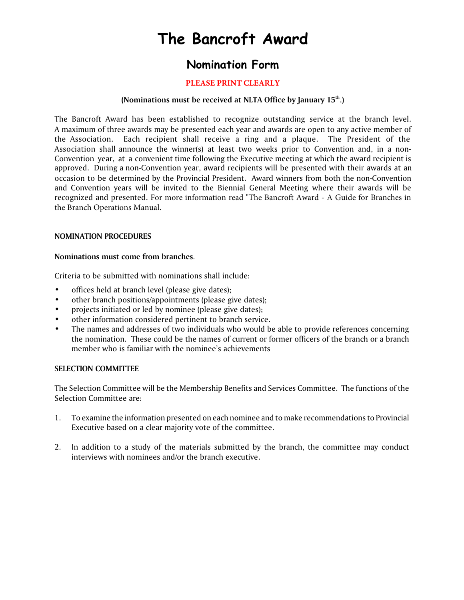# **The Bancroft Award**

# **Nomination Form**

### **PLEASE PRINT CLEARLY**

#### **(Nominations must be received at NLTA Office by January 15th.)**

The Bancroft Award has been established to recognize outstanding service at the branch level. A maximum of three awards may be presented each year and awards are open to any active member of the Association. Each recipient shall receive a ring and a plaque. The President of the Association shall announce the winner(s) at least two weeks prior to Convention and, in a non-Convention year, at a convenient time following the Executive meeting at which the award recipient is approved. During a non-Convention year, award recipients will be presented with their awards at an occasion to be determined by the Provincial President. Award winners from both the non-Convention and Convention years will be invited to the Biennial General Meeting where their awards will be recognized and presented. For more information read "The Bancroft Award - A Guide for Branches in the Branch Operations Manual.

#### **NOMINATION PROCEDURES**

#### **Nominations must come from branches**.

Criteria to be submitted with nominations shall include:

- offices held at branch level (please give dates);
- other branch positions/appointments (please give dates);
- projects initiated or led by nominee (please give dates):
- other information considered pertinent to branch service.
- The names and addresses of two individuals who would be able to provide references concerning the nomination. These could be the names of current or former officers of the branch or a branch member who is familiar with the nominee's achievements

#### **SELECTION COMMITTEE**

The Selection Committee will be the Membership Benefits and Services Committee. The functions of the Selection Committee are:

- 1. To examine the information presented on each nominee and to make recommendations to Provincial Executive based on a clear majority vote of the committee.
- 2. In addition to a study of the materials submitted by the branch, the committee may conduct interviews with nominees and/or the branch executive.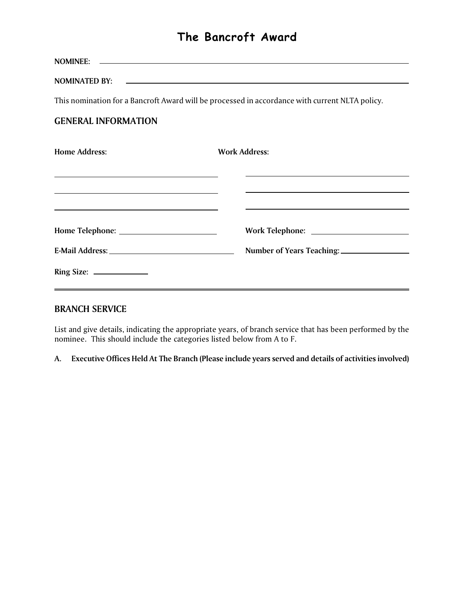# **The Bancroft Award**

**NOMINEE: NOMINATED BY:** This nomination for a Bancroft Award will be processed in accordance with current NLTA policy. **GENERAL INFORMATION Home Address: Work Address: Home Telephone:** <u>**Work Telephone: Work Telephone: Work Telephone:** *Work Telephone:*</u> **E-Mail Address:** <u>**Number of Years Teaching: Number**</u> **Ring Size:** 

### **BRANCH SERVICE**

List and give details, indicating the appropriate years, of branch service that has been performed by the nominee. This should include the categories listed below from A to F.

**A. Executive Offices Held At The Branch (Please include years served and details of activities involved)**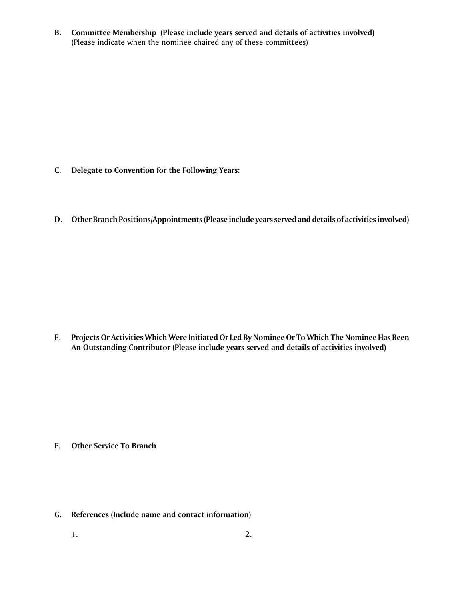**B. Committee Membership (Please include years served and details of activities involved)** (Please indicate when the nominee chaired any of these committees)

- **C. Delegate to Convention for the Following Years:**
- **D. Other Branch Positions/Appointments(Please include years served and details of activities involved)**

**E. Projects Or Activities Which Were Initiated Or Led By Nominee Or To Which The Nominee Has Been An Outstanding Contributor (Please include years served and details of activities involved)**

- **F. Other Service To Branch**
- **G. References (Include name and contact information)**
	- **1. 2.**